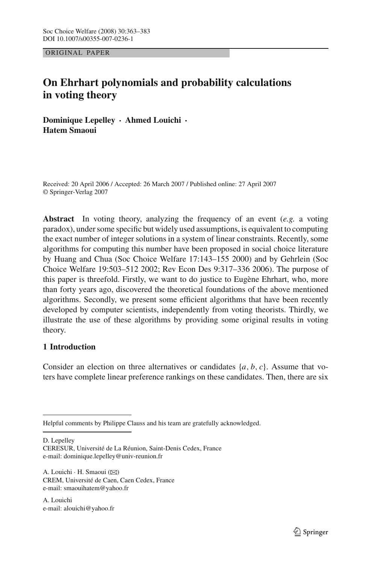ORIGINAL PAPER

# **On Ehrhart polynomials and probability calculations in voting theory**

**Dominique Lepelley** · **Ahmed Louichi** · **Hatem Smaoui**

Received: 20 April 2006 / Accepted: 26 March 2007 / Published online: 27 April 2007 © Springer-Verlag 2007

**Abstract** In voting theory, analyzing the frequency of an event (*e.g.* a voting paradox), under some specific but widely used assumptions, is equivalent to computing the exact number of integer solutions in a system of linear constraints. Recently, some algorithms for computing this number have been proposed in social choice literature by Huang and Chua (Soc Choice Welfare 17:143–155 2000) and by Gehrlein (Soc Choice Welfare 19:503–512 2002; Rev Econ Des 9:317–336 2006). The purpose of this paper is threefold. Firstly, we want to do justice to Eugène Ehrhart, who, more than forty years ago, discovered the theoretical foundations of the above mentioned algorithms. Secondly, we present some efficient algorithms that have been recently developed by computer scientists, independently from voting theorists. Thirdly, we illustrate the use of these algorithms by providing some original results in voting theory.

## **1 Introduction**

Consider an election on three alternatives or candidates {*a*, *b*, *c*}. Assume that voters have complete linear preference rankings on these candidates. Then, there are six

D. Lepelley

CERESUR, Université de La Réunion, Saint-Denis Cedex, France e-mail: dominique.lepelley@univ-reunion.fr

A. Louichi · H. Smaoui ( $\boxtimes$ ) CREM, Université de Caen, Caen Cedex, France e-mail: smaouihatem@yahoo.fr

A. Louichi e-mail: alouichi@yahoo.fr

Helpful comments by Philippe Clauss and his team are gratefully acknowledged.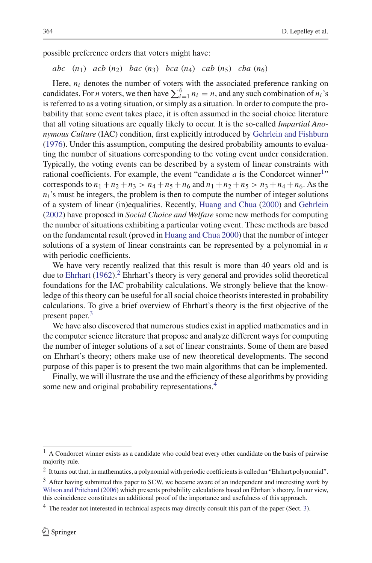possible preference orders that voters might have:

$$
abc \quad (n_1) \quad acb \quad (n_2) \quad bac \quad (n_3) \quad bca \quad (n_4) \quad cab \quad (n_5) \quad cba \quad (n_6)
$$

Here,  $n_i$  denotes the number of voters with the associated preference ranking on candidates. For *n* voters, we then have  $\sum_{i=1}^{6} n_i = n$ , and any such combination of  $n_i$ 's is referred to as a voting situation, or simply as a situation. In order to compute the probability that some event takes place, it is often assumed in the social choice literature that all voting situations are equally likely to occur. It is the so-called *Impartial Anonymous Culture* (IAC) condition, first explicitly introduced by Gehrlein and Fishburn (1976). Under this assumption, computing the desired probability amounts to evaluating the number of situations corresponding to the voting event under consideration. Typically, the voting events can be described by a system of linear constraints with rational coefficients. For example, the event "candidate  $a$  is the Condorcet winner<sup>1</sup>" corresponds to  $n_1 + n_2 + n_3 > n_4 + n_5 + n_6$  and  $n_1 + n_2 + n_5 > n_3 + n_4 + n_6$ . As the  $n_i$ 's must be integers, the problem is then to compute the number of integer solutions of a system of linear (in)equalities. Recently, Huang and Chua (2000) and Gehrlein (2002) have proposed in *Social Choice and Welfare* some new methods for computing the number of situations exhibiting a particular voting event. These methods are based on the fundamental result (proved in Huang and Chua 2000) that the number of integer solutions of a system of linear constraints can be represented by a polynomial in *n* with periodic coefficients.

We have very recently realized that this result is more than 40 years old and is due to Ehrhart  $(1962)$ .<sup>2</sup> Ehrhart's theory is very general and provides solid theoretical foundations for the IAC probability calculations. We strongly believe that the knowledge of this theory can be useful for all social choice theorists interested in probability calculations. To give a brief overview of Ehrhart's theory is the first objective of the present paper.<sup>3</sup>

We have also discovered that numerous studies exist in applied mathematics and in the computer science literature that propose and analyze different ways for computing the number of integer solutions of a set of linear constraints. Some of them are based on Ehrhart's theory; others make use of new theoretical developments. The second purpose of this paper is to present the two main algorithms that can be implemented.

Finally, we will illustrate the use and the efficiency of these algorithms by providing some new and original probability representations.<sup>4</sup>

<sup>&</sup>lt;sup>1</sup> A Condorcet winner exists as a candidate who could beat every other candidate on the basis of pairwise majority rule.

 $2$  It turns out that, in mathematics, a polynomial with periodic coefficients is called an "Ehrhart polynomial".

<sup>&</sup>lt;sup>3</sup> After having submitted this paper to SCW, we became aware of an independent and interesting work by Wilson and Pritchard (2006) which presents probability calculations based on Ehrhart's theory. In our view, this coincidence constitutes an additional proof of the importance and usefulness of this approach.

<sup>&</sup>lt;sup>4</sup> The reader not interested in technical aspects may directly consult this part of the paper (Sect. 3).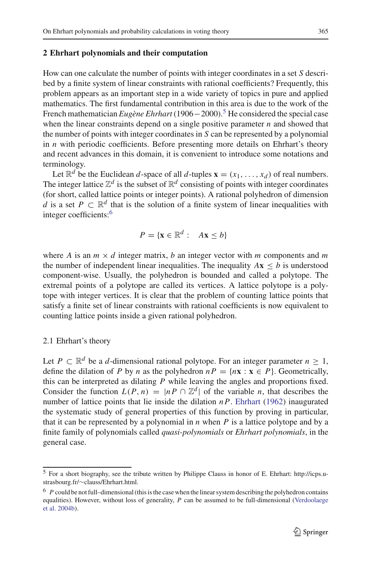### **2 Ehrhart polynomials and their computation**

How can one calculate the number of points with integer coordinates in a set *S* described by a finite system of linear constraints with rational coefficients? Frequently, this problem appears as an important step in a wide variety of topics in pure and applied mathematics. The first fundamental contribution in this area is due to the work of the French mathematician *Eugène Ehrhart* (1906−2000).5 He considered the special case when the linear constraints depend on a single positive parameter *n* and showed that the number of points with integer coordinates in *S* can be represented by a polynomial in *n* with periodic coefficients. Before presenting more details on Ehrhart's theory and recent advances in this domain, it is convenient to introduce some notations and terminology.

Let  $\mathbb{R}^d$  be the Euclidean *d*-space of all *d*-tuples  $\mathbf{x} = (x_1, \ldots, x_d)$  of real numbers. The integer lattice  $\mathbb{Z}^d$  is the subset of  $\mathbb{R}^d$  consisting of points with integer coordinates (for short, called lattice points or integer points). A rational polyhedron of dimension *d* is a set  $P \subset \mathbb{R}^d$  that is the solution of a finite system of linear inequalities with integer coefficients:<sup>6</sup>

$$
P = \{ \mathbf{x} \in \mathbb{R}^d : A\mathbf{x} \le b \}
$$

where *A* is an  $m \times d$  integer matrix, *b* an integer vector with *m* components and *m* the number of independent linear inequalities. The inequality  $A\mathbf{x} \leq b$  is understood component-wise. Usually, the polyhedron is bounded and called a polytope. The extremal points of a polytope are called its vertices. A lattice polytope is a polytope with integer vertices. It is clear that the problem of counting lattice points that satisfy a finite set of linear constraints with rational coefficients is now equivalent to counting lattice points inside a given rational polyhedron.

## 2.1 Ehrhart's theory

Let *P* ⊂  $\mathbb{R}^d$  be a *d*-dimensional rational polytope. For an integer parameter *n* ≥ 1, define the dilation of *P* by *n* as the polyhedron  $nP = \{nx : x \in P\}$ . Geometrically, this can be interpreted as dilating *P* while leaving the angles and proportions fixed. Consider the function  $L(P, n) = |nP \cap \mathbb{Z}^d|$  of the variable *n*, that describes the number of lattice points that lie inside the dilation *n P*. Ehrhart (1962) inaugurated the systematic study of general properties of this function by proving in particular, that it can be represented by a polynomial in  $n$  when  $P$  is a lattice polytope and by a finite family of polynomials called *quasi-polynomials* or *Ehrhart polynomials*, in the general case.

<sup>5</sup> For a short biography, see the tribute written by Philippe Clauss in honor of E. Ehrhart: http://icps.ustrasbourg.fr/∼clauss/Ehrhart.html.

<sup>&</sup>lt;sup>6</sup> *P* could be not full–dimensional (this is the case when the linear system describing the polyhedron contains equalities). However, without loss of generality, *P* can be assumed to be full-dimensional (Verdoolaege et al. 2004b).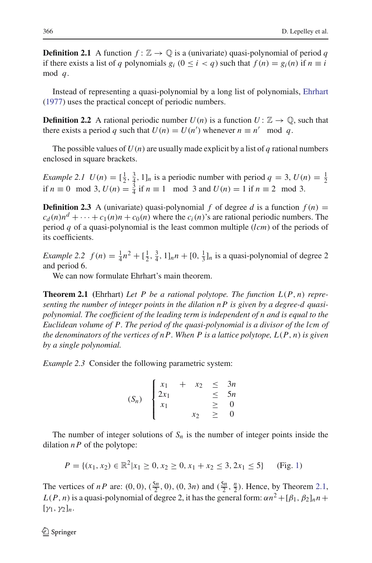**Definition 2.1** A function  $f: \mathbb{Z} \to \mathbb{Q}$  is a (univariate) quasi-polynomial of period q if there exists a list of *q* polynomials  $g_i$  ( $0 \le i < q$ ) such that  $f(n) = g_i(n)$  if  $n \equiv i$ mod *q*.

Instead of representing a quasi-polynomial by a long list of polynomials, Ehrhart (1977) uses the practical concept of periodic numbers.

**Definition 2.2** A rational periodic number  $U(n)$  is a function  $U: \mathbb{Z} \to \mathbb{Q}$ , such that there exists a period *q* such that  $U(n) = U(n')$  whenever  $n \equiv n' \mod q$ .

The possible values of  $U(n)$  are usually made explicit by a list of q rational numbers enclosed in square brackets.

*Example 2.1*  $U(n) = \left[\frac{1}{2}, \frac{3}{4}, 1\right]_n$  is a periodic number with period  $q = 3$ ,  $U(n) = \frac{1}{2}$ if *n* ≡ 0 mod 3, *U*(*n*) =  $\frac{3}{4}$  if *n* ≡ 1 mod 3 and *U*(*n*) = 1 if *n* ≡ 2 mod 3.

**Definition 2.3** A (univariate) quasi-polynomial *f* of degree *d* is a function  $f(n) =$  $c_d(n)n^d + \cdots + c_1(n)n + c_0(n)$  where the  $c_i(n)$ 's are rational periodic numbers. The period *q* of a quasi-polynomial is the least common multiple (*lcm*) of the periods of its coefficients.

*Example 2.2*  $f(n) = \frac{1}{4}n^2 + [\frac{1}{2}, \frac{3}{4}, 1]_n n + [0, \frac{1}{3}]_n$  is a quasi-polynomial of degree 2 and period 6.

We can now formulate Ehrhart's main theorem.

**Theorem 2.1 (**Ehrhart) *Let P be a rational polytope. The function L*(*P*, *n*) *representing the number of integer points in the dilation n P is given by a degree-d quasipolynomial. The coefficient of the leading term is independent of n and is equal to the Euclidean volume of P. The period of the quasi-polynomial is a divisor of the lcm of the denominators of the vertices of n P. When P is a lattice polytope, L*(*P*, *n*) *is given by a single polynomial.*

*Example 2.3* Consider the following parametric system:

$$
(S_n) \begin{cases} x_1 + x_2 \leq 3n \\ 2x_1 \\ x_1 \leq 5n \\ x_2 \geq 0 \end{cases}
$$

The number of integer solutions of  $S_n$  is the number of integer points inside the dilation  $nP$  of the polytope:

$$
P = \{(x_1, x_2) \in \mathbb{R}^2 | x_1 \ge 0, x_2 \ge 0, x_1 + x_2 \le 3, 2x_1 \le 5\}
$$
 (Fig. 1)

The vertices of *nP* are:  $(0, 0)$ ,  $(\frac{5n}{2}, 0)$ ,  $(0, 3n)$  and  $(\frac{5n}{2}, \frac{n}{2})$ . Hence, by Theorem 2.1,  $L(P, n)$  is a quasi-polynomial of degree 2, it has the general form:  $\alpha n^2 + [\beta_1, \beta_2]_n n +$  $[\gamma_1, \gamma_2]_n$ .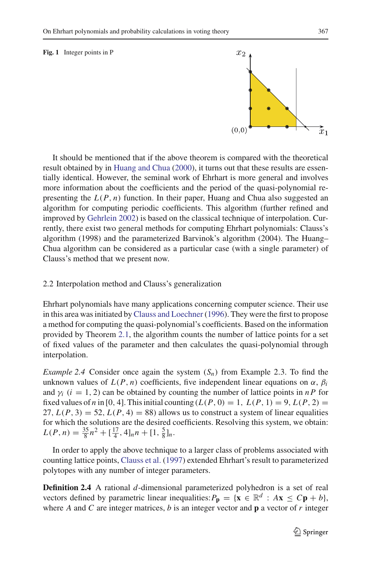#### **Fig. 1** Integer points in P



It should be mentioned that if the above theorem is compared with the theoretical result obtained by in Huang and Chua (2000), it turns out that these results are essentially identical. However, the seminal work of Ehrhart is more general and involves more information about the coefficients and the period of the quasi-polynomial representing the  $L(P, n)$  function. In their paper, Huang and Chua also suggested an algorithm for computing periodic coefficients. This algorithm (further refined and improved by Gehrlein 2002) is based on the classical technique of interpolation. Currently, there exist two general methods for computing Ehrhart polynomials: Clauss's algorithm (1998) and the parameterized Barvinok's algorithm (2004). The Huang– Chua algorithm can be considered as a particular case (with a single parameter) of Clauss's method that we present now.

### 2.2 Interpolation method and Clauss's generalization

Ehrhart polynomials have many applications concerning computer science. Their use in this area was initiated by Clauss and Loechner (1996). They were the first to propose a method for computing the quasi-polynomial's coefficients. Based on the information provided by Theorem 2.1, the algorithm counts the number of lattice points for a set of fixed values of the parameter and then calculates the quasi-polynomial through interpolation.

*Example 2.4* Consider once again the system  $(S_n)$  from Example 2.3. To find the unknown values of  $L(P, n)$  coefficients, five independent linear equations on  $\alpha$ ,  $\beta$ *i* and  $\gamma_i$  (*i* = 1, 2) can be obtained by counting the number of lattice points in *nP* for fixed values of *n* in [0, 4]. This initial counting  $(L(P, 0) = 1, L(P, 1) = 9, L(P, 2) =$ 27,  $L(P, 3) = 52$ ,  $L(P, 4) = 88$ ) allows us to construct a system of linear equalities for which the solutions are the desired coefficients. Resolving this system, we obtain:  $L(P, n) = \frac{35}{8}n^2 + \left[\frac{17}{4}, 4\right]_n n + \left[1, \frac{5}{8}\right]_n.$ 

In order to apply the above technique to a larger class of problems associated with counting lattice points, Clauss et al. (1997) extended Ehrhart's result to parameterized polytopes with any number of integer parameters.

**Definition 2.4** A rational *d*-dimensional parameterized polyhedron is a set of real vectors defined by parametric linear inequalities:  $P_p = \{x \in \mathbb{R}^d : Ax \leq Cp + b\}$ , where *A* and *C* are integer matrices, *b* is an integer vector and **p** a vector of *r* integer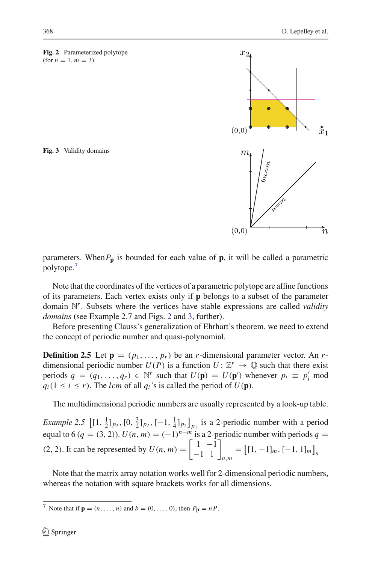**Fig. 2** Parameterized polytope  $(for n = 1, m = 3)$ 

**Fig. 3** Validity domains

parameters. When  $P_p$  is bounded for each value of  $p$ , it will be called a parametric polytope.<sup>7</sup>

Note that the coordinates of the vertices of a parametric polytope are affine functions of its parameters. Each vertex exists only if **p** belongs to a subset of the parameter domain N*r*. Subsets where the vertices have stable expressions are called *validity domains* (see Example 2.7 and Figs. 2 and 3, further).

Before presenting Clauss's generalization of Ehrhart's theorem, we need to extend the concept of periodic number and quasi-polynomial.

**Definition 2.5** Let  $\mathbf{p} = (p_1, \ldots, p_r)$  be an *r*-dimensional parameter vector. An *r*dimensional periodic number  $U(P)$  is a function  $U: \mathbb{Z}^r \to \mathbb{Q}$  such that there exist periods  $q = (q_1, \ldots, q_r) \in \mathbb{N}^r$  such that  $U(\mathbf{p}) = U(\mathbf{p}')$  whenever  $p_i \equiv p'_i \mod$  $q_i(1 \le i \le r)$ . The *lcm* of all  $q_i$ 's is called the period of  $U(\mathbf{p})$ .

The multidimensional periodic numbers are usually represented by a look-up table.

*Example 2.5*  $\left[ [1, \frac{1}{2}]_{p_2}, [0, \frac{3}{2}]_{p_2}, [-1, \frac{1}{4}]_{p_2} \right]_{p_1}$  is a 2-periodic number with a period equal to 6 ( $q = (3, 2)$ ).  $U(n, m) = (-1)^{n-m}$  is a 2-periodic number with periods  $q =$ (2, 2). It can be represented by  $U(n, m) = \begin{bmatrix} 1 & -1 \\ -1 & 1 \end{bmatrix}_{n,m} = \begin{bmatrix} [1, -1]_m, [-1, 1]_m \end{bmatrix}_n$ 

Note that the matrix array notation works well for 2-dimensional periodic numbers, whereas the notation with square brackets works for all dimensions.



 $\overline{7}$  Note that if  $\mathbf{p} = (n, \ldots, n)$  and  $b = (0, \ldots, 0)$ , then  $P_{\mathbf{p}} = nP$ .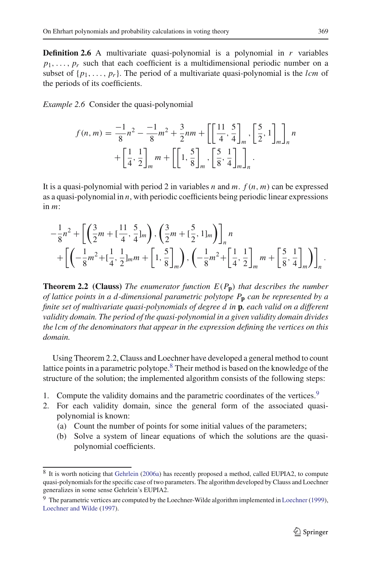**Definition 2.6** A multivariate quasi-polynomial is a polynomial in  $r$  variables  $p_1, \ldots, p_r$  such that each coefficient is a multidimensional periodic number on a subset of  $\{p_1, \ldots, p_r\}$ . The period of a multivariate quasi-polynomial is the *lcm* of the periods of its coefficients.

*Example 2.6* Consider the quasi-polynomial

$$
f(n,m) = \frac{-1}{8}n^2 - \frac{-1}{8}m^2 + \frac{3}{2}nm + \left[\left[\frac{11}{4}, \frac{5}{4}\right]_m, \left[\frac{5}{2}, 1\right]_m\right]_n^2 + \left[\frac{1}{4}, \frac{1}{2}\right]_m^2 m + \left[\left[1, \frac{5}{8}\right]_m, \left[\frac{5}{8}, \frac{1}{4}\right]_m\right]_n.
$$

It is a quasi-polynomial with period 2 in variables *n* and *m*.  $f(n, m)$  can be expressed as a quasi-polynomial in *n*, with periodic coefficients being periodic linear expressions in *m*:

$$
-\frac{1}{8}n^2 + \left[ \left( \frac{3}{2}m + \left[ \frac{11}{4}, \frac{5}{4} \right]_m \right), \left( \frac{3}{2}m + \left[ \frac{5}{2}, 1 \right]_m \right) \right]_n n
$$
  
+ 
$$
\left[ \left( -\frac{1}{8}m^2 + \left[ \frac{1}{4}, \frac{1}{2} \right]_m m + \left[ 1, \frac{5}{8} \right]_m \right), \left( -\frac{1}{8}m^2 + \left[ \frac{1}{4}, \frac{1}{2} \right]_m m + \left[ \frac{5}{8}, \frac{1}{4} \right]_m \right) \right]_n.
$$

**Theorem 2.2 (Clauss)** *The enumerator function E*(*P***p**) *that describes the number of lattice points in a d-dimensional parametric polytope P***<sup>p</sup>** *can be represented by a finite set of multivariate quasi-polynomials of degree d in* **p***, each valid on a different validity domain. The period of the quasi-polynomial in a given validity domain divides the lcm of the denominators that appear in the expression defining the vertices on this domain.*

Using Theorem 2.2, Clauss and Loechner have developed a general method to count lattice points in a parametric polytope.<sup>8</sup> Their method is based on the knowledge of the structure of the solution; the implemented algorithm consists of the following steps:

- 1. Compute the validity domains and the parametric coordinates of the vertices.<sup>9</sup>
- 2. For each validity domain, since the general form of the associated quasipolynomial is known:
	- (a) Count the number of points for some initial values of the parameters;
	- (b) Solve a system of linear equations of which the solutions are the quasipolynomial coefficients.

<sup>8</sup> It is worth noticing that Gehrlein (2006a) has recently proposed a method, called EUPIA2, to compute quasi-polynomials for the specific case of two parameters. The algorithm developed by Clauss and Loechner generalizes in some sense Gehrlein's EUPIA2.

<sup>9</sup> The parametric vertices are computed by the Loechner-Wilde algorithm implemented in Loechner (1999), Loechner and Wilde (1997).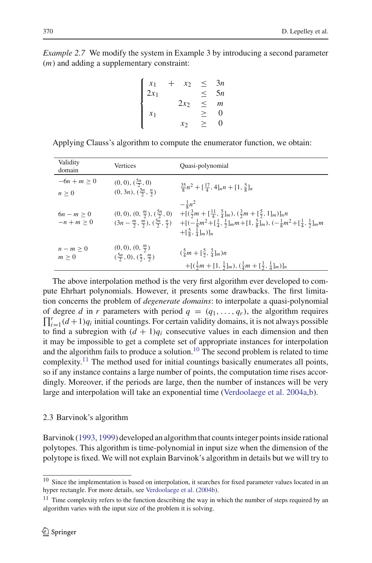*Example 2.7* We modify the system in Example 3 by introducing a second parameter (*m*) and adding a supplementary constraint:

$$
\begin{cases}\n x_1 + x_2 \leq 3n \\
 2x_1 \leq 5n \\
 x_1 \leq x_2 \leq m \\
 x_2 \geq 0\n\end{cases}
$$

Applying Clauss's algorithm to compute the enumerator function, we obtain:

| Validity<br>domain       | Vertices                                                                      | Quasi-polynomial                                                                                                                                                                                                                                                                                                                                                                                                    |
|--------------------------|-------------------------------------------------------------------------------|---------------------------------------------------------------------------------------------------------------------------------------------------------------------------------------------------------------------------------------------------------------------------------------------------------------------------------------------------------------------------------------------------------------------|
| $-6n + m > 0$<br>n > 0   | $(0, 0), (\frac{5n}{2}, 0)$<br>$(0, 3n), (\frac{5n}{2}, \frac{n}{2})$         | $\frac{35}{8}n^2 + [\frac{17}{4}, 4]_n n + [1, \frac{5}{8}]_n$                                                                                                                                                                                                                                                                                                                                                      |
| $6n - m > 0$<br>$-n+m>0$ |                                                                               | $-\frac{1}{9}n^2$<br>$(0,0), (0, \frac{m}{2}), (\frac{5n}{2}, 0)$ $+[(\frac{3}{2}m + [\frac{11}{4}, \frac{5}{4}]_m), (\frac{3}{2}m + [\frac{5}{2}, 1]_m)]_n n$<br>$(3n - \frac{m}{2}, \frac{m}{2}), (\frac{5n}{2}, \frac{n}{2})$ $+ [(-\frac{1}{8}m^2 + [\frac{1}{4}, \frac{1}{2}]_m m + [1, \frac{5}{8}]_m), (-\frac{1}{8}m^2 + [\frac{1}{4}, \frac{1}{2}]_m m$<br>$+[\frac{5}{8}, \frac{1}{4}]_m)$ ] <sub>n</sub> |
| $n-m \geq 0$<br>m > 0    | $(0, 0), (0, \frac{m}{2})$<br>$(\frac{5n}{2}, 0), (\frac{n}{2}, \frac{m}{2})$ | $(\frac{5}{4}m + [\frac{5}{2}, \frac{5}{4}]_m)n$<br>$+[(\frac{1}{2}m + [1, \frac{1}{2}]_m), (\frac{1}{4}m + [\frac{1}{2}, \frac{1}{4}]_m)]_n$                                                                                                                                                                                                                                                                       |

The above interpolation method is the very first algorithm ever developed to compute Ehrhart polynomials. However, it presents some drawbacks. The first limitation concerns the problem of *degenerate domains*: to interpolate a quasi-polynomial of degree *d* in *r* parameters with period  $q = (q_1, \ldots, q_r)$ , the algorithm requires  $\prod^r (d+1)a$ , initial countings. For certain validity domains, it is not always possible  $\prod_{i=1}^{r} (d+1)q_i$  initial countings. For certain validity domains, it is not always possible to find a subregion with  $(d + 1)q_i$  consecutive values in each dimension and then it may be impossible to get a complete set of appropriate instances for interpolation and the algorithm fails to produce a solution.<sup>10</sup> The second problem is related to time complexity.11 The method used for initial countings basically enumerates all points, so if any instance contains a large number of points, the computation time rises accordingly. Moreover, if the periods are large, then the number of instances will be very large and interpolation will take an exponential time (Verdoolaege et al. 2004a,b).

#### 2.3 Barvinok's algorithm

Barvinok (1993, 1999) developed an algorithm that counts integer points inside rational polytopes. This algorithm is time-polynomial in input size when the dimension of the polytope is fixed. We will not explain Barvinok's algorithm in details but we will try to

<sup>&</sup>lt;sup>10</sup> Since the implementation is based on interpolation, it searches for fixed parameter values located in an hyper rectangle. For more details, see Verdoolaege et al. (2004b).

 $11$  Time complexity refers to the function describing the way in which the number of steps required by an algorithm varies with the input size of the problem it is solving.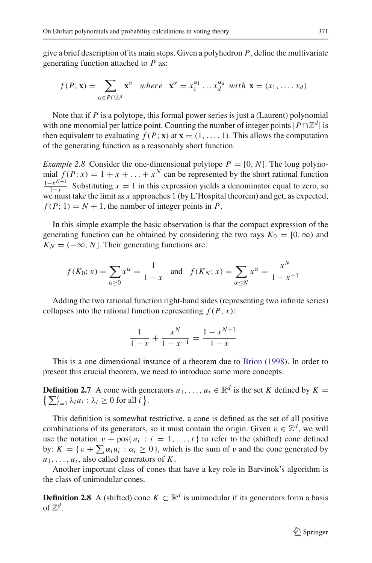give a brief description of its main steps. Given a polyhedron *P*, define the multivariate generating function attached to *P* as:

$$
f(P; \mathbf{x}) = \sum_{\alpha \in P \cap \mathbb{Z}^d} \mathbf{x}^{\alpha} \quad where \quad \mathbf{x}^{\alpha} = x_1^{\alpha_1} \dots x_d^{\alpha_d} \quad with \quad \mathbf{x} = (x_1, \dots, x_d)
$$

Note that if *P* is a polytope, this formal power series is just a (Laurent) polynomial with one monomial per lattice point. Counting the number of integer points  $|P \cap \mathbb{Z}^d|$  is then equivalent to evaluating  $f(P; x)$  at  $x = (1, \ldots, 1)$ . This allows the computation of the generating function as a reasonably short function.

*Example 2.8* Consider the one-dimensional polytope  $P = [0, N]$ . The long polynomial  $f(P; x) = 1 + x + \ldots + x^N$  can be represented by the short rational function  $\frac{1-x^{N+1}}{1-x}$ . Substituting  $x = 1$  in this expression yields a denominator equal to zero, so we must take the limit as *x* approaches 1 (by L'Hospital theorem) and get, as expected,  $f(P; 1) = N + 1$ , the number of integer points in *P*.

In this simple example the basic observation is that the compact expression of the generating function can be obtained by considering the two rays  $K_0 = [0, \infty)$  and  $K_N = (-\infty, N]$ . Their generating functions are:

$$
f(K_0; x) = \sum_{\alpha \ge 0} x^{\alpha} = \frac{1}{1-x}
$$
 and  $f(K_N; x) = \sum_{\alpha \le N} x^{\alpha} = \frac{x^N}{1-x^{-1}}$ 

Adding the two rational function right-hand sides (representing two infinite series) collapses into the rational function representing  $f(P; x)$ :

$$
\frac{1}{1-x} + \frac{x^N}{1-x^{-1}} = \frac{1-x^{N+1}}{1-x}
$$

This is a one dimensional instance of a theorem due to Brion (1998). In order to present this crucial theorem, we need to introduce some more concepts.

**Definition 2.7** A cone with generators  $u_1, \ldots, u_t \in \mathbb{R}^d$  is the set *K* defined by  $K =$  $\sum_{i=1}^{t} \lambda_i u_i : \lambda_i \geq 0$  for all *i* }.

This definition is somewhat restrictive, a cone is defined as the set of all positive combinations of its generators, so it must contain the origin. Given  $v \in \mathbb{Z}^d$ , we will use the notation  $v + pos\{u_i : i = 1, ..., t\}$  to refer to the (shifted) cone defined by:  $K = \{v + \sum \alpha_i u_i : \alpha_i \geq 0\}$ , which is the sum of v and the cone generated by  $u_1, \ldots, u_t$ , also called generators of *K*.

Another important class of cones that have a key role in Barvinok's algorithm is the class of unimodular cones.

**Definition 2.8** A (shifted) cone *K* ⊂  $\mathbb{R}^d$  is unimodular if its generators form a basis of  $\mathbb{Z}^d$ .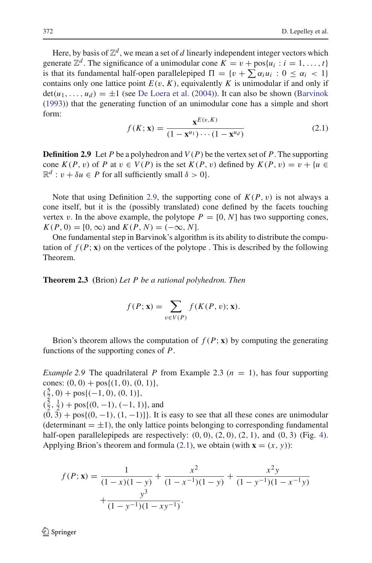Here, by basis of  $\mathbb{Z}^d$ , we mean a set of  $d$  linearly independent integer vectors which generate  $\mathbb{Z}^d$ . The significance of a unimodular cone  $K = v + \text{pos}\{u_i : i = 1, \ldots, t\}$ is that its fundamental half-open parallelepiped  $\Pi = \{v + \sum \alpha_i u_i : 0 \le \alpha_i < 1\}$ contains only one lattice point  $E(v, K)$ , equivalently *K* is unimodular if and only if  $det(u_1,..., u_d) = \pm 1$  (see De Loera et al. (2004)). It can also be shown (Barvinok (1993)) that the generating function of an unimodular cone has a simple and short form:

$$
f(K; \mathbf{x}) = \frac{\mathbf{x}^{E(v,K)}}{(1 - \mathbf{x}^{u_1}) \cdots (1 - \mathbf{x}^{u_d})}
$$
(2.1)

**Definition 2.9** Let *P* be a polyhedron and  $V(P)$  be the vertex set of *P*. The supporting cone  $K(P, v)$  of P at  $v \in V(P)$  is the set  $K(P, v)$  defined by  $K(P, v) = v + \{u \in V(P)\}$  $\mathbb{R}^d$  :  $v + \delta u \in P$  for all sufficiently small  $\delta > 0$ .

Note that using Definition 2.9, the supporting cone of  $K(P, v)$  is not always a cone itself, but it is the (possibly translated) cone defined by the facets touching vertex v. In the above example, the polytope  $P = [0, N]$  has two supporting cones,  $K(P, 0) = [0, \infty)$  and  $K(P, N) = (-\infty, N]$ .

One fundamental step in Barvinok's algorithm is its ability to distribute the computation of  $f(P; \mathbf{x})$  on the vertices of the polytope. This is described by the following Theorem.

**Theorem 2.3 (**Brion) *Let P be a rational polyhedron. Then*

$$
f(P; \mathbf{x}) = \sum_{v \in V(P)} f(K(P, v); \mathbf{x}).
$$

Brion's theorem allows the computation of  $f(P; \mathbf{x})$  by computing the generating functions of the supporting cones of *P*.

*Example 2.9* The quadrilateral *P* from Example 2.3  $(n = 1)$ , has four supporting cones:  $(0, 0) + pos{(1, 0), (0, 1)},$ 

 $(\frac{5}{2}, 0) + \text{pos}\{(-1, 0), (0, 1)\},\$ 

 $(\frac{5}{2}, \frac{1}{2}) + \text{pos}\{(0, -1), (-1, 1)\}\)$ , and

 $(0, 3) + \text{pos}\{(0, -1), (1, -1)\}\}.$  It is easy to see that all these cones are unimodular (determinant  $= \pm 1$ ), the only lattice points belonging to corresponding fundamental half-open parallelepipeds are respectively:  $(0, 0)$ ,  $(2, 0)$ ,  $(2, 1)$ , and  $(0, 3)$  (Fig. 4). Applying Brion's theorem and formula (2.1), we obtain (with  $\mathbf{x} = (x, y)$ ):

$$
f(P; \mathbf{x}) = \frac{1}{(1-x)(1-y)} + \frac{x^2}{(1-x^{-1})(1-y)} + \frac{x^2y}{(1-y^{-1})(1-x^{-1}y)} + \frac{y^3}{(1-y^{-1})(1-x^{-1})}.
$$

 $\circled{2}$  Springer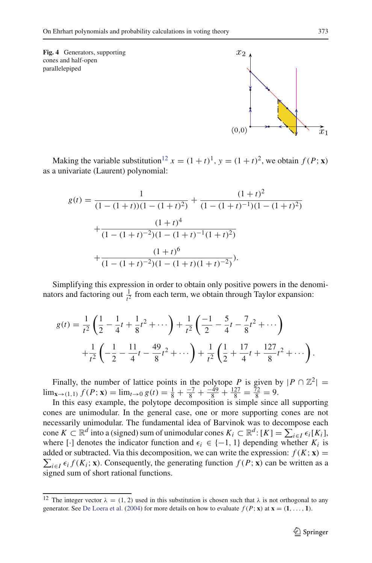**Fig. 4** Generators, supporting cones and half-open parallelepiped



Making the variable substitution<sup>12</sup>  $x = (1 + t)^1$ ,  $y = (1 + t)^2$ , we obtain  $f(P; \mathbf{x})$ as a univariate (Laurent) polynomial:

$$
g(t) = \frac{1}{(1 - (1 + t))(1 - (1 + t)^2)} + \frac{(1 + t)^2}{(1 - (1 + t)^{-1})(1 - (1 + t)^2)}
$$

$$
+ \frac{(1 + t)^4}{(1 - (1 + t)^{-2})(1 - (1 + t)^{-1}(1 + t)^2)}
$$

$$
+ \frac{(1 + t)^6}{(1 - (1 + t)^{-2})(1 - (1 + t)(1 + t)^{-2})}.
$$

Simplifying this expression in order to obtain only positive powers in the denominators and factoring out  $\frac{1}{t^2}$  from each term, we obtain through Taylor expansion:

$$
g(t) = \frac{1}{t^2} \left( \frac{1}{2} - \frac{1}{4}t + \frac{1}{8}t^2 + \cdots \right) + \frac{1}{t^2} \left( \frac{-1}{2} - \frac{5}{4}t - \frac{7}{8}t^2 + \cdots \right) + \frac{1}{t^2} \left( -\frac{1}{2} - \frac{11}{4}t - \frac{49}{8}t^2 + \cdots \right) + \frac{1}{t^2} \left( \frac{1}{2} + \frac{17}{4}t + \frac{127}{8}t^2 + \cdots \right).
$$

Finally, the number of lattice points in the polytope *P* is given by  $|P \cap \mathbb{Z}^2|$  = lim<sub>**x**→(1,1)</sub>  $f(P; \mathbf{x}) = \lim_{t \to 0} g(t) = \frac{1}{8} + \frac{-7}{8} + \frac{-49}{8} + \frac{127}{8} = \frac{72}{8} = 9.$ 

In this easy example, the polytope decomposition is simple since all supporting cones are unimodular. In the general case, one or more supporting cones are not necessarily unimodular. The fundamental idea of Barvinok was to decompose each cone  $K \subset \mathbb{R}^d$  into a (signed) sum of unimodular cones  $K_i \subset \mathbb{R}^d$ :  $[K] = \sum_{i \in I} \epsilon_i [K_i]$ , where [·] denotes the indicator function and  $\epsilon_i \in \{-1, 1\}$  depending whether  $K_i$  is  $\sum_{i \in I} \epsilon_i f(K_i; \mathbf{x})$ . Consequently, the generating function  $f(P; \mathbf{x})$  can be written as a added or subtracted. Via this decomposition, we can write the expression:  $f(K; x) =$ signed sum of short rational functions.

<sup>&</sup>lt;sup>12</sup> The integer vector  $\lambda = (1, 2)$  used in this substitution is chosen such that  $\lambda$  is not orthogonal to any generator. See De Loera et al. (2004) for more details on how to evaluate  $f(P; \mathbf{x})$  at  $\mathbf{x} = (1, \ldots, 1)$ .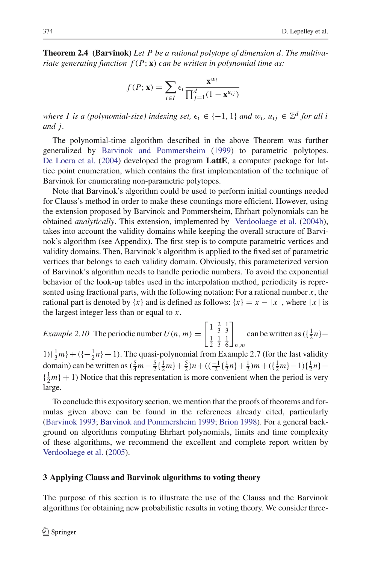**Theorem 2.4 (Barvinok)** *Let P be a rational polytope of dimension d. The multivariate generating function f* (*P*; **x**) *can be written in polynomial time as:*

$$
f(P; \mathbf{x}) = \sum_{i \in I} \epsilon_i \frac{\mathbf{x}^{w_i}}{\prod_{j=1}^d (1 - \mathbf{x}^{u_{ij}})}
$$

*where I is a (polynomial-size) indexing set,*  $\epsilon_i \in \{-1, 1\}$  *and*  $w_i$ *,*  $u_{ij} \in \mathbb{Z}^d$  *for all i and j.*

The polynomial-time algorithm described in the above Theorem was further generalized by Barvinok and Pommersheim (1999) to parametric polytopes. De Loera et al. (2004) developed the program **LattE**, a computer package for lattice point enumeration, which contains the first implementation of the technique of Barvinok for enumerating non-parametric polytopes.

Note that Barvinok's algorithm could be used to perform initial countings needed for Clauss's method in order to make these countings more efficient. However, using the extension proposed by Barvinok and Pommersheim, Ehrhart polynomials can be obtained *analytically*. This extension, implemented by Verdoolaege et al. (2004b), takes into account the validity domains while keeping the overall structure of Barvinok's algorithm (see Appendix). The first step is to compute parametric vertices and validity domains. Then, Barvinok's algorithm is applied to the fixed set of parametric vertices that belongs to each validity domain. Obviously, this parameterized version of Barvinok's algorithm needs to handle periodic numbers. To avoid the exponential behavior of the look-up tables used in the interpolation method, periodicity is represented using fractional parts, with the following notation: For a rational number *x*, the rational part is denoted by  $\{x\}$  and is defined as follows:  $\{x\} = x - |x|$ , where  $|x|$  is the largest integer less than or equal to *x*.

*Example 2.10* The periodic number  $U(n, m) =$  $\left[1 \frac{2}{3} \frac{1}{3}\right]$  $\frac{1}{2}$   $\frac{1}{3}$   $\frac{1}{6}$ 1 *n*,*m* can be written as  $({\frac{1}{2}}n)$  –

 $1\left(\frac{1}{3}m\right) + \left(\frac{1}{2}n\right) + 1$ ). The quasi-polynomial from Example 2.7 (for the last validity domain) can be written as  $(\frac{5}{4}m - \frac{5}{2} \{\frac{1}{2}m\} + \frac{5}{2})n + ((\frac{-1}{2} \{\frac{1}{2}n\} + \frac{1}{2})m + (\{\frac{1}{2}m\} - 1)\{\frac{1}{2}n\} \{\frac{1}{2}m\}$  + 1) Notice that this representation is more convenient when the period is very large.

To conclude this expository section, we mention that the proofs of theorems and formulas given above can be found in the references already cited, particularly (Barvinok 1993; Barvinok and Pommersheim 1999; Brion 1998). For a general background on algorithms computing Ehrhart polynomials, limits and time complexity of these algorithms, we recommend the excellent and complete report written by Verdoolaege et al. (2005).

#### **3 Applying Clauss and Barvinok algorithms to voting theory**

The purpose of this section is to illustrate the use of the Clauss and the Barvinok algorithms for obtaining new probabilistic results in voting theory. We consider three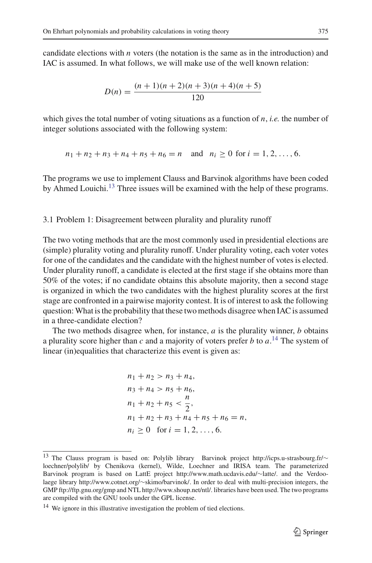candidate elections with *n* voters (the notation is the same as in the introduction) and IAC is assumed. In what follows, we will make use of the well known relation:

$$
D(n) = \frac{(n+1)(n+2)(n+3)(n+4)(n+5)}{120}
$$

which gives the total number of voting situations as a function of *n*, *i.e.* the number of integer solutions associated with the following system:

$$
n_1 + n_2 + n_3 + n_4 + n_5 + n_6 = n
$$
 and  $n_i \ge 0$  for  $i = 1, 2, ..., 6$ .

The programs we use to implement Clauss and Barvinok algorithms have been coded by Ahmed Louichi.<sup>13</sup> Three issues will be examined with the help of these programs.

#### 3.1 Problem 1: Disagreement between plurality and plurality runoff

The two voting methods that are the most commonly used in presidential elections are (simple) plurality voting and plurality runoff. Under plurality voting, each voter votes for one of the candidates and the candidate with the highest number of votes is elected. Under plurality runoff, a candidate is elected at the first stage if she obtains more than 50% of the votes; if no candidate obtains this absolute majority, then a second stage is organized in which the two candidates with the highest plurality scores at the first stage are confronted in a pairwise majority contest. It is of interest to ask the following question:What is the probability that these two methods disagree when IAC is assumed in a three-candidate election?

The two methods disagree when, for instance, *a* is the plurality winner, *b* obtains a plurality score higher than *c* and a majority of voters prefer *b* to *a*. <sup>14</sup> The system of linear (in)equalities that characterize this event is given as:

$$
n_1 + n_2 > n_3 + n_4,
$$
  
\n
$$
n_3 + n_4 > n_5 + n_6,
$$
  
\n
$$
n_1 + n_2 + n_5 < \frac{n}{2},
$$
  
\n
$$
n_1 + n_2 + n_3 + n_4 + n_5 + n_6 = n,
$$
  
\n
$$
n_i \ge 0 \text{ for } i = 1, 2, ..., 6.
$$

<sup>13</sup> The Clauss program is based on: Polylib library Barvinok project http://icps.u-strasbourg.fr/<sup>∼</sup> loechner/polylib/ by Chenikova (kernel), Wilde, Loechner and IRISA team. The parameterized Barvinok program is based on LattE project http://www.math.ucdavis.edu/∼latte/. and the Verdoolaege library http://www.cotnet.org/∼skimo/barvinok/. In order to deal with multi-precision integers, the GMP ftp://ftp.gnu.org/gmp and NTL http://www.shoup.net/ntl/. libraries have been used. The two programs are compiled with the GNU tools under the GPL license.

<sup>&</sup>lt;sup>14</sup> We ignore in this illustrative investigation the problem of tied elections.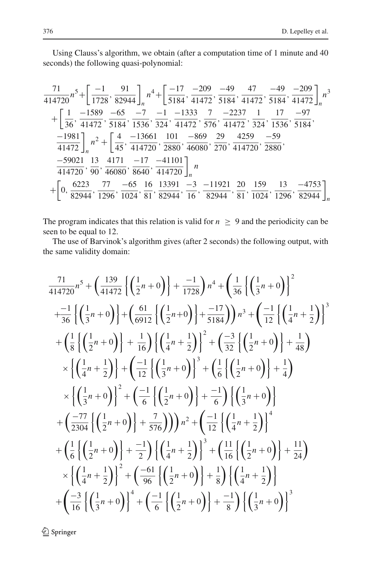Using Clauss's algorithm, we obtain (after a computation time of 1 minute and 40 seconds) the following quasi-polynomial:

$$
\frac{71}{414720}n^5 + \left[\frac{-1}{1728}, \frac{91}{82944}\right]_n n^4 + \left[\frac{-17}{5184}, \frac{-209}{41472}, \frac{-49}{5184}, \frac{47}{41472}, \frac{-49}{5184}, \frac{-209}{41472}\right]_n n^3
$$
  
+ 
$$
\left[\frac{1}{36}, \frac{-1589}{41472}, \frac{-65}{5184}, \frac{-7}{1536}, \frac{-1}{324}, \frac{-1333}{41472}, \frac{7}{576}, \frac{-2237}{41472}, \frac{1}{324}, \frac{17}{1536}, \frac{-97}{5184}, \frac{-1981}{41472}\right]_n n^2 + \left[\frac{4}{45}, \frac{-13661}{414720}, \frac{101}{2880}, \frac{-869}{46080}, \frac{29}{270}, \frac{4259}{414720}, \frac{-59}{2880}, \frac{-59021}{414720}, \frac{13}{90}, \frac{4171}{46080}, \frac{-17}{8640}, \frac{-41101}{414720}\right]_n n
$$
  
+ 
$$
\left[0, \frac{6223}{82944}, \frac{77}{1296}, \frac{-65}{1024}, \frac{16}{81}, \frac{13391}{82944}, \frac{-3}{16}, \frac{-11921}{82944}, \frac{20}{81}, \frac{159}{1024}, \frac{13}{1296}, \frac{-4753}{82944}\right]_n
$$

The program indicates that this relation is valid for  $n \geq 9$  and the periodicity can be seen to be equal to 12.

The use of Barvinok's algorithm gives (after 2 seconds) the following output, with the same validity domain:

$$
\frac{71}{414720}n^5 + \left(\frac{139}{41472}\left\{\left(\frac{1}{2}n+0\right)\right\} + \frac{-1}{1728}\right)n^4 + \left(\frac{1}{36}\left\{\left(\frac{1}{3}n+0\right)\right\}^2
$$
  
\n
$$
+\frac{-1}{36}\left\{\left(\frac{1}{3}n+0\right)\right\} + \left(\frac{61}{6912}\left\{\left(\frac{1}{2}n+0\right)\right\} + \frac{-17}{5184}\right)\right)n^3 + \left(\frac{-1}{12}\left\{\left(\frac{1}{4}n+\frac{1}{2}\right)\right\}^3
$$
  
\n
$$
+\left(\frac{1}{8}\left\{\left(\frac{1}{2}n+0\right)\right\} + \frac{1}{16}\right)\left\{\left(\frac{1}{4}n+\frac{1}{2}\right)\right\}^2 + \left(\frac{-3}{32}\left\{\left(\frac{1}{2}n+0\right)\right\} + \frac{1}{48}\right)
$$
  
\n
$$
\times \left\{\left(\frac{1}{4}n+\frac{1}{2}\right)\right\} + \left(\frac{-1}{12}\left\{\left(\frac{1}{3}n+0\right)\right\}^3 + \left(\frac{1}{6}\left\{\left(\frac{1}{2}n+0\right)\right\} + \frac{1}{4}\right)
$$
  
\n
$$
\times \left\{\left(\frac{1}{3}n+0\right)\right\}^2 + \left(\frac{-1}{6}\left\{\left(\frac{1}{2}n+0\right)\right\} + \frac{-1}{6}\right)\left\{\left(\frac{1}{3}n+0\right)\right\}
$$
  
\n
$$
+\left(\frac{-77}{2304}\left\{\left(\frac{1}{2}n+0\right)\right\} + \frac{7}{576}\right)\right)\right)n^2 + \left(\frac{-1}{12}\left\{\left(\frac{1}{4}n+\frac{1}{2}\right)\right\}^4
$$
  
\n
$$
+\left(\frac{1}{6}\left\{\left(\frac{1}{2}n+0\right)\right\} + \frac{-1}{2}\right)\left\{\left(\frac{1}{4}n+\frac{1}{2}\right)\right\}^3 + \left(\frac{11}{16}\left\{\left(\frac{1}{2}n+0\right)\right
$$

 $\mathcal{D}$  Springer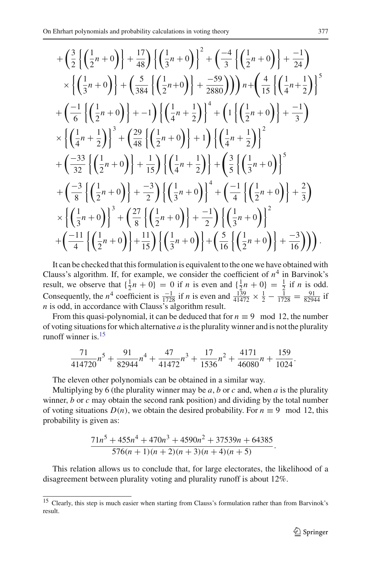$$
+\left(\frac{3}{2}\left\{\left(\frac{1}{2}n+0\right)\right\}+\frac{17}{48}\right)\left\{\left(\frac{1}{3}n+0\right)\right\}^{2}+\left(\frac{-4}{3}\left\{\left(\frac{1}{2}n+0\right)\right\}+\frac{-1}{24}\right) \times\left\{\left(\frac{1}{3}n+0\right)\right\}+\left(\frac{5}{384}\left\{\left(\frac{1}{2}n+0\right)\right\}+\frac{-59}{2880}\right)\right)\left(n+\left(\frac{4}{15}\left\{\left(\frac{1}{4}n+\frac{1}{2}\right)\right\}^{5} \n+\left(\frac{-1}{6}\left\{\left(\frac{1}{2}n+0\right)\right\}+-1\right)\left\{\left(\frac{1}{4}n+\frac{1}{2}\right)\right\}^{4}+\left(1\left\{\left(\frac{1}{2}n+0\right)\right\}+\frac{-1}{3}\right) \times\left\{\left(\frac{1}{4}n+\frac{1}{2}\right)\right\}^{3}+\left(\frac{29}{48}\left\{\left(\frac{1}{2}n+0\right)\right\}+1\right)\left\{\left(\frac{1}{4}n+\frac{1}{2}\right)\right\}^{2} \n+\left(\frac{-33}{32}\left\{\left(\frac{1}{2}n+0\right)\right\}+\frac{1}{15}\right\}\left\{\left(\frac{1}{4}n+\frac{1}{2}\right)\right\}+\left(\frac{3}{5}\left\{\left(\frac{1}{3}n+0\right)\right\}^{5} \n+\left(\frac{-3}{8}\left\{\left(\frac{1}{2}n+0\right)\right\}+\frac{-3}{2}\right)\left\{\left(\frac{1}{3}n+0\right)\right\}^{4}+\left(\frac{-1}{4}\left\{\left(\frac{1}{2}n+0\right)\right\}+\frac{2}{3}\right) \times\left\{\left(\frac{1}{3}n+0\right)\right\}^{3}+\left(\frac{27}{8}\left\{\left(\frac{1}{2}n+0\right)\right\}+\frac{-1}{2}\right)\left\{\left(\frac{1}{3}n+0\right\}^{2} \n+\left(\frac{-11}{4}\left\{\left(\frac{1}{2}n+0\right)\right\}+\frac{11}{15}\right)\left\{\left(\frac{1}{3}n+0\
$$

It can be checked that this formulation is equivalent to the one we have obtained with Clauss's algorithm. If, for example, we consider the coefficient of  $n<sup>4</sup>$  in Barvinok's result, we observe that  $\{\frac{1}{2}n + 0\} = 0$  if *n* is even and  $\{\frac{1}{2}n + 0\} = \frac{1}{2}$  if *n* is odd. Consequently, the *n*<sup>4</sup> coefficient is  $\frac{-1}{1728}$  if *n* is even and  $\frac{139}{41472} \times \frac{1}{2} - \frac{1}{1728} = \frac{91}{82944}$  if *n* is odd, in accordance with Clauss's algorithm result.

From this quasi-polynomial, it can be deduced that for  $n \equiv 9 \mod 12$ , the number of voting situations for which alternative *a* is the plurality winner and is not the plurality runoff winner is.<sup>15</sup>

$$
\frac{71}{414720}n^5 + \frac{91}{82944}n^4 + \frac{47}{41472}n^3 + \frac{17}{1536}n^2 + \frac{4171}{46080}n + \frac{159}{1024}.
$$

The eleven other polynomials can be obtained in a similar way.

Multiplying by 6 (the plurality winner may be  $a$ ,  $b$  or  $c$  and, when  $a$  is the plurality winner, *b* or *c* may obtain the second rank position) and dividing by the total number of voting situations  $D(n)$ , we obtain the desired probability. For  $n \equiv 9 \mod 12$ , this probability is given as:

$$
\frac{71n^5+455n^4+470n^3+4590n^2+37539n+64385}{576(n+1)(n+2)(n+3)(n+4)(n+5)}.
$$

This relation allows us to conclude that, for large electorates, the likelihood of a disagreement between plurality voting and plurality runoff is about 12%.

<sup>&</sup>lt;sup>15</sup> Clearly, this step is much easier when starting from Clauss's formulation rather than from Barvinok's result.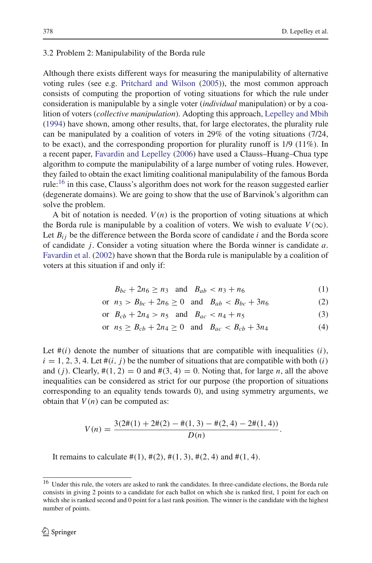#### 3.2 Problem 2: Manipulability of the Borda rule

Although there exists different ways for measuring the manipulability of alternative voting rules (see e.g. Pritchard and Wilson (2005)), the most common approach consists of computing the proportion of voting situations for which the rule under consideration is manipulable by a single voter (*individual* manipulation) or by a coalition of voters (*collective manipulation*). Adopting this approach, Lepelley and Mbih (1994) have shown, among other results, that, for large electorates, the plurality rule can be manipulated by a coalition of voters in 29% of the voting situations (7/24, to be exact), and the corresponding proportion for plurality runoff is 1/9 (11%). In a recent paper, Favardin and Lepelley (2006) have used a Clauss–Huang–Chua type algorithm to compute the manipulability of a large number of voting rules. However, they failed to obtain the exact limiting coalitional manipulability of the famous Borda rule:<sup>16</sup> in this case, Clauss's algorithm does not work for the reason suggested earlier (degenerate domains). We are going to show that the use of Barvinok's algorithm can solve the problem.

A bit of notation is needed.  $V(n)$  is the proportion of voting situations at which the Borda rule is manipulable by a coalition of voters. We wish to evaluate  $V(\infty)$ . Let  $B_{ij}$  be the difference between the Borda score of candidate *i* and the Borda score of candidate *j*. Consider a voting situation where the Borda winner is candidate *a*. Favardin et al. (2002) have shown that the Borda rule is manipulable by a coalition of voters at this situation if and only if:

$$
B_{bc} + 2n_6 \ge n_3
$$
 and  $B_{ab} < n_3 + n_6$  (1)

or 
$$
n_3 > B_{bc} + 2n_6 \ge 0
$$
 and  $B_{ab} < B_{bc} + 3n_6$  (2)

or 
$$
B_{cb} + 2n_4 > n_5
$$
 and  $B_{ac} < n_4 + n_5$  (3)

or 
$$
n_5 \ge B_{cb} + 2n_4 \ge 0
$$
 and  $B_{ac} < B_{cb} + 3n_4$  (4)

Let  $\#(i)$  denote the number of situations that are compatible with inequalities  $(i)$ ,  $i = 1, 2, 3, 4$ . Let  $\#(i, j)$  be the number of situations that are compatible with both  $(i)$ and (*j*). Clearly,  $\#(1, 2) = 0$  and  $\#(3, 4) = 0$ . Noting that, for large *n*, all the above inequalities can be considered as strict for our purpose (the proportion of situations corresponding to an equality tends towards 0), and using symmetry arguments, we obtain that  $V(n)$  can be computed as:

$$
V(n) = \frac{3(2\#(1) + 2\#(2) - \#(1, 3) - \#(2, 4) - 2\#(1, 4))}{D(n)}.
$$

It remains to calculate  $\#(1), \#(2), \#(1, 3), \#(2, 4)$  and  $\#(1, 4)$ .

<sup>&</sup>lt;sup>16</sup> Under this rule, the voters are asked to rank the candidates. In three-candidate elections, the Borda rule consists in giving 2 points to a candidate for each ballot on which she is ranked first, 1 point for each on which she is ranked second and 0 point for a last rank position. The winner is the candidate with the highest number of points.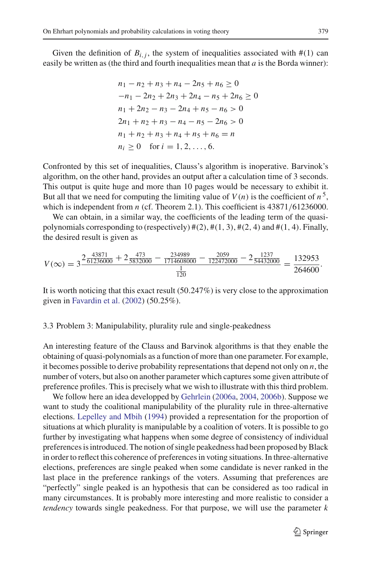Given the definition of  $B_{i,j}$ , the system of inequalities associated with  $\#(1)$  can easily be written as (the third and fourth inequalities mean that *a* is the Borda winner):

$$
n_1 - n_2 + n_3 + n_4 - 2n_5 + n_6 \ge 0
$$
  
\n
$$
-n_1 - 2n_2 + 2n_3 + 2n_4 - n_5 + 2n_6 \ge 0
$$
  
\n
$$
n_1 + 2n_2 - n_3 - 2n_4 + n_5 - n_6 > 0
$$
  
\n
$$
2n_1 + n_2 + n_3 - n_4 - n_5 - 2n_6 > 0
$$
  
\n
$$
n_1 + n_2 + n_3 + n_4 + n_5 + n_6 = n
$$
  
\n
$$
n_i \ge 0 \text{ for } i = 1, 2, ..., 6.
$$

Confronted by this set of inequalities, Clauss's algorithm is inoperative. Barvinok's algorithm, on the other hand, provides an output after a calculation time of 3 seconds. This output is quite huge and more than 10 pages would be necessary to exhibit it. But all that we need for computing the limiting value of  $V(n)$  is the coefficient of  $n^5$ , which is independent from *n* (cf. Theorem 2.1). This coefficient is 43871/61236000.

We can obtain, in a similar way, the coefficients of the leading term of the quasipolynomials corresponding to (respectively)  $\#(2)$ ,  $\#(1, 3)$ ,  $\#(2, 4)$  and  $\#(1, 4)$ . Finally, the desired result is given as

$$
V(\infty) = 3 \frac{2 \frac{43871}{61236000} + 2 \frac{473}{5832000} - \frac{234989}{1714608000} - \frac{2059}{122472000} - 2 \frac{1237}{54432000}}{1 \frac{1}{120}} = \frac{132953}{264600}.
$$

It is worth noticing that this exact result (50.247%) is very close to the approximation given in Favardin et al. (2002) (50.25%).

## 3.3 Problem 3: Manipulability, plurality rule and single-peakedness

An interesting feature of the Clauss and Barvinok algorithms is that they enable the obtaining of quasi-polynomials as a function of more than one parameter. For example, it becomes possible to derive probability representations that depend not only on *n*, the number of voters, but also on another parameter which captures some given attribute of preference profiles. This is precisely what we wish to illustrate with this third problem.

We follow here an idea developped by Gehrlein (2006a, 2004, 2006b). Suppose we want to study the coalitional manipulability of the plurality rule in three-alternative elections. Lepelley and Mbih (1994) provided a representation for the proportion of situations at which plurality is manipulable by a coalition of voters. It is possible to go further by investigating what happens when some degree of consistency of individual preferences is introduced. The notion of single peakedness had been proposed by Black in order to reflect this coherence of preferences in voting situations. In three-alternative elections, preferences are single peaked when some candidate is never ranked in the last place in the preference rankings of the voters. Assuming that preferences are "perfectly" single peaked is an hypothesis that can be considered as too radical in many circumstances. It is probably more interesting and more realistic to consider a *tendency* towards single peakedness. For that purpose, we will use the parameter *k*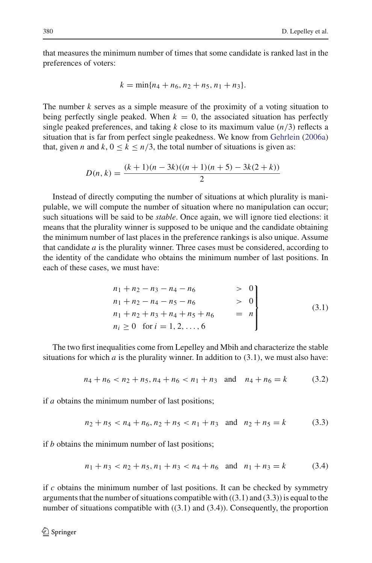that measures the minimum number of times that some candidate is ranked last in the preferences of voters:

$$
k = \min\{n_4 + n_6, n_2 + n_5, n_1 + n_3\}.
$$

The number *k* serves as a simple measure of the proximity of a voting situation to being perfectly single peaked. When  $k = 0$ , the associated situation has perfectly single peaked preferences, and taking  $k$  close to its maximum value  $(n/3)$  reflects a situation that is far from perfect single peakedness. We know from Gehrlein (2006a) that, given *n* and  $k$ ,  $0 \le k \le n/3$ , the total number of situations is given as:

$$
D(n,k) = \frac{(k+1)(n-3k)((n+1)(n+5) - 3k(2+k))}{2}
$$

Instead of directly computing the number of situations at which plurality is manipulable, we will compute the number of situation where no manipulation can occur; such situations will be said to be *stable*. Once again, we will ignore tied elections: it means that the plurality winner is supposed to be unique and the candidate obtaining the minimum number of last places in the preference rankings is also unique. Assume that candidate *a* is the plurality winner. Three cases must be considered, according to the identity of the candidate who obtains the minimum number of last positions. In each of these cases, we must have:

$$
\begin{aligned}\nn_1 + n_2 - n_3 - n_4 - n_6 &> 0 \\
n_1 + n_2 - n_4 - n_5 - n_6 &> 0 \\
n_1 + n_2 + n_3 + n_4 + n_5 + n_6 &= n \\
n_i \ge 0 \quad \text{for } i = 1, 2, ..., 6\n\end{aligned}
$$
\n(3.1)

The two first inequalities come from Lepelley and Mbih and characterize the stable situations for which  $a$  is the plurality winner. In addition to  $(3.1)$ , we must also have:

$$
n_4 + n_6 < n_2 + n_5, n_4 + n_6 < n_1 + n_3 \quad \text{and} \quad n_4 + n_6 = k \tag{3.2}
$$

if *a* obtains the minimum number of last positions;

$$
n_2 + n_5 < n_4 + n_6, n_2 + n_5 < n_1 + n_3 \quad \text{and} \quad n_2 + n_5 = k \tag{3.3}
$$

if *b* obtains the minimum number of last positions;

$$
n_1 + n_3 < n_2 + n_5, n_1 + n_3 < n_4 + n_6 \quad \text{and} \quad n_1 + n_3 = k \tag{3.4}
$$

if *c* obtains the minimum number of last positions. It can be checked by symmetry arguments that the number of situations compatible with  $((3.1)$  and  $(3.3)$ ) is equal to the number of situations compatible with  $((3.1)$  and  $(3.4)$ ). Consequently, the proportion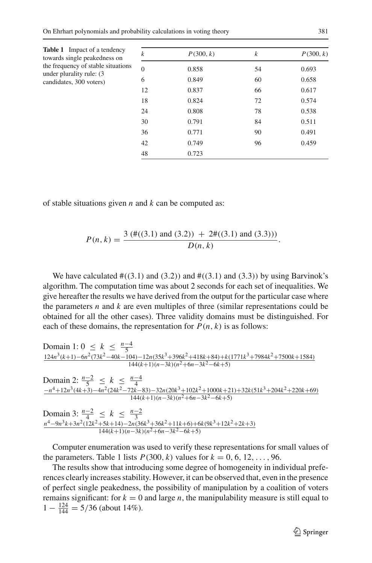| <b>Table 1</b> Impact of a tendency<br>towards single peakedness on | $\boldsymbol{k}$ | P(300, k) | $\boldsymbol{k}$ | P(300, k) |
|---------------------------------------------------------------------|------------------|-----------|------------------|-----------|
| the frequency of stable situations                                  | $\overline{0}$   | 0.858     | 54               | 0.693     |
| under plurality rule: (3)<br>candidates, 300 voters)                | 6                | 0.849     | 60               | 0.658     |
|                                                                     | 12               | 0.837     | 66               | 0.617     |
|                                                                     | 18               | 0.824     | 72               | 0.574     |
|                                                                     | 24               | 0.808     | 78               | 0.538     |
|                                                                     | 30               | 0.791     | 84               | 0.511     |
|                                                                     | 36               | 0.771     | 90               | 0.491     |
|                                                                     | 42               | 0.749     | 96               | 0.459     |
|                                                                     | 48               | 0.723     |                  |           |

of stable situations given *n* and *k* can be computed as:

$$
P(n,k) = \frac{3 \left( \#((3.1) \text{ and } (3.2)) + 2 \#((3.1) \text{ and } (3.3)) \right)}{D(n,k)}.
$$

We have calculated  $\#((3.1) \text{ and } (3.2))$  and  $\#((3.1) \text{ and } (3.3))$  by using Barvinok's algorithm. The computation time was about 2 seconds for each set of inequalities. We give hereafter the results we have derived from the output for the particular case where the parameters *n* and *k* are even multiples of three (similar representations could be obtained for all the other cases). Three validity domains must be distinguished. For each of these domains, the representation for  $P(n, k)$  is as follows:

Domain 1: 
$$
0 \le k \le \frac{n-4}{5}
$$
  
\n
$$
\frac{124n^3(k+1)-6n^2(73k^2-40k-104)-12n(35k^3+396k^2+418k+84)+k(1771k^3+7984k^2+7500k+1584)}{144(k+1)(n-3k)(n^2+6n-3k^2-6k+5)}
$$
\nDomain 2:  $\frac{n-2}{5} \le k \le \frac{n-4}{4}$   
\n
$$
\frac{-n^4+12n^3(4k+3)-4n^2(24k^2-72k-83)-32n(20k^3+102k^2+1000k+21)+32k(51k^3+204k^2+220k+69)}{144(k+1)(n-3k)(n^2+6n-3k^2-6k+5)}
$$
\nDomain 3:  $\frac{n-2}{4} \le k \le \frac{n-2}{3}$   
\n $\frac{n^4-9n^3k+3n^2(12k^2+5k+14)-2n(36k^3+36k^2+11k+6)+6k(9k^3+12k^2+2k+3)}{144(k+1)(n-3k)(n^2+6n-3k^2-6k+5)}$ 

Computer enumeration was used to verify these representations for small values of the parameters. Table 1 lists  $P(300, k)$  values for  $k = 0, 6, 12, \ldots, 96$ .

The results show that introducing some degree of homogeneity in individual preferences clearly increases stability. However, it can be observed that, even in the presence of perfect single peakedness, the possibility of manipulation by a coalition of voters remains significant: for  $k = 0$  and large *n*, the manipulability measure is still equal to  $1 - \frac{124}{144} = 5/36$  (about 14%).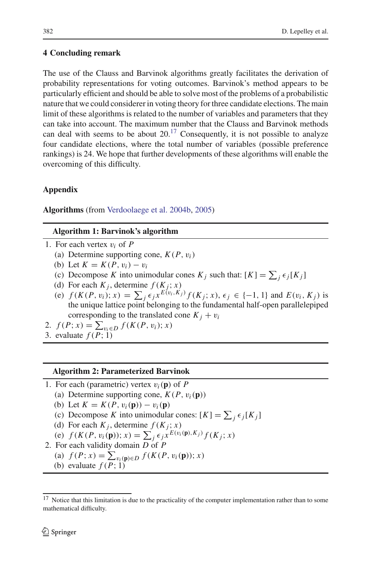## **4 Concluding remark**

The use of the Clauss and Barvinok algorithms greatly facilitates the derivation of probability representations for voting outcomes. Barvinok's method appears to be particularly efficient and should be able to solve most of the problems of a probabilistic nature that we could considerer in voting theory for three candidate elections. The main limit of these algorithms is related to the number of variables and parameters that they can take into account. The maximum number that the Clauss and Barvinok methods can deal with seems to be about  $20^{17}$  Consequently, it is not possible to analyze four candidate elections, where the total number of variables (possible preference rankings) is 24. We hope that further developments of these algorithms will enable the overcoming of this difficulty.

## **Appendix**

**Algorithms** (from Verdoolaege et al. 2004b, 2005)

## **Algorithm 1: Barvinok's algorithm**

- 1. For each vertex v*<sup>i</sup>* of *P*
	- (a) Determine supporting cone,  $K(P, v_i)$
	- (b) Let  $K = K(P, v_i) v_i$
	- (c) Decompose *K* into unimodular cones  $K_j$  such that:  $[K] = \sum_j \epsilon_j[K_j]$
	- (d) For each  $K_j$ , determine  $f(K_j; x)$
	- (e)  $f(K(P, v_i); x) = \sum_j \epsilon_j x^{E(v_i, K_j)} f(K_j; x), \epsilon_j \in \{-1, 1\}$  and  $E(v_i, K_j)$  is the unique lattice point belonging to the fundamental half-open parallelepiped corresponding to the translated cone  $K_i + v_i$
- 2.  $f(P; x) = \sum_{v_i \in D} f(K(P, v_i); x)$
- 3. evaluate  $f(P; 1)$

## **Algorithm 2: Parameterized Barvinok**

- 1. For each (parametric) vertex  $v_i(\mathbf{p})$  of P
	- (a) Determine supporting cone,  $K(P, v_i(\mathbf{p}))$
	- (b) Let  $K = K(P, v_i(\mathbf{p})) v_i(\mathbf{p})$
	- (c) Decompose *K* into unimodular cones:  $[K] = \sum_j \epsilon_j[K_j]$
	- (d) For each  $K_i$ , determine  $f(K_i; x)$
	- (e)  $f(K(P, v_i(\mathbf{p})); x) = \sum_j \epsilon_j x^{E(v_i(\mathbf{p}), K_j)} f(K_j; x)$
- 2. For each validity domain *D* of *P*
	- (a)  $f(P; x) = \sum_{v_i(\mathbf{p}) \in D} f(K(P, v_i(\mathbf{p})); x)$
	- (b) evaluate  $f(P; 1)$

<sup>&</sup>lt;sup>17</sup> Notice that this limitation is due to the practicality of the computer implementation rather than to some mathematical difficulty.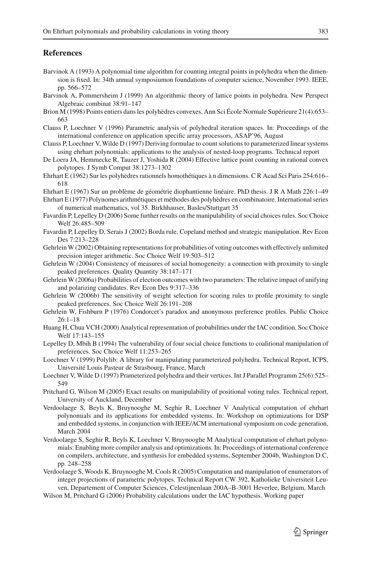### **References**

- Barvinok A (1993) A polynomial time algorithm for counting integral points in polyhedra when the dimension is fixed. In: 34th annual symposiumon foundations of computer science, November 1993. IEEE, pp. 566–572
- Barvinok A, Pommersheim J (1999) An algorithmic theory of lattice points in polyhedra. New Perspect Algebraic combinat 38:91–147
- Brion M (1998) Points entiers dans les polyhèdres convexes. Ann Sci École Normale Supérieure 21(4):653– 663
- Clauss P, Loechner V (1996) Parametric analysis of polyhedral iteration spaces. In: Proceedings of the international conference on application specific array processors, ASAP'96, August
- Clauss P, Loechner V, Wilde D (1997) Deriving formulae to count solutions to parameterized linear systems using ehrhart polynomials: applications to the analysis of nested-loop programs. Technical report
- De Loera JA, Hemmecke R, Tauzer J, Yoshida R (2004) Effective lattice point counting in rational convex polytopes. J Symb Comput 38:1273–1302
- Ehrhart E (1962) Sur les polyhèdres rationnels homothétiques à n dimensions. C R Acad Sci Paris 254:616– 618
- Ehrhart E (1967) Sur un problème de géométrie diophantienne linéaire. PhD thesis. J R A Math 226:1–49
- Ehrhart E (1977) Polynomes arithmétiques et méthodes des polyhèdres en combinatoire. International series of numerical mathematics, vol 35. Birkhhauser, Basles/Stuttgart 35
- Favardin P, Lepelley D (2006) Some further results on the manipulability of social choices rules. Soc Choice Welf 26:485–509
- Favardin P, Lepelley D, Serais J (2002) Borda rule, Copeland method and strategic manipulation. Rev Econ Des 7:213–228
- Gehrlein W (2002) Obtaining representations for probabilities of voting outcomes with effectively unlimited precision integer arithmetic. Soc Choice Welf 19:503–512
- Gehrlein W (2004) Consistency of measures of social homogeneity: a connection with proximity to single peaked preferences. Quality Quantity 38:147–171
- Gehrlein W (2006a) Probabilities of election outcomes with two parameters: The relative impact of unifying and polarizing candidates. Rev Econ Des 9:317–336
- Gehrlein W (2006b) The sensitivity of weight selection for scoring rules to profile proximity to single peaked preferences. Soc Choice Welf 26:191–208
- Gehrlein W, Fishburn P (1976) Condorcet's paradox and anonymous preference profiles. Public Choice  $26.1 - 18$
- Huang H, Chua VCH (2000) Analytical representation of probabilities under the IAC condition. Soc Choice Welf 17:143–155
- Lepelley D, Mbih B (1994) The vulnerability of four social choice functions to coalitional manipulation of preferences. Soc Choice Welf 11:253–265
- Loechner V (1999) Polylib: A library for manipulating parameterized polyhedra. Technical Report, ICPS, Université Louis Pasteur de Strasbourg, France, March
- Loechner V, Wilde D (1997) Prameterized polyhedra and their vertices. Int J Parallel Programm 25(6):525– 549
- Pritchard G, Wilson M (2005) Exact results on manipulability of positional voting rules. Technical report, University of Auckland, December
- Verdoolaege S, Beyls K, Bruynooghe M, Seghir R, Loechner V Analytical computation of ehrhart polynomials and its applications for embedded systems. In: Workshop on optimizations for DSP and embedded systems, in conjunction with IEEE/ACM international symposium on code generation, March 2004
- Verdoolaege S, Seghir R, Beyls K, Loechner V, Bruynooghe M Analytical computation of ehrhart polynomials: Enabling more compiler analysis and optimizations. In: Proceedings of international conference on compilers, architecture, and synthesis for embedded systems, September 2004b, Washington D.C, pp. 248–258
- Verdoolaege S, Woods K, Bruynooghe M, Cools R (2005) Computation and manipulation of enumerators of integer projections of parametric polytopes. Technical Report CW 392, Katholieke Universiteit Leuven, Departement of Computer Sciences, Celestijnenlaan 200A–B-3001 Heverlee, Belgium, March
- Wilson M, Pritchard G (2006) Probability calculations under the IAC hypothesis. Working paper